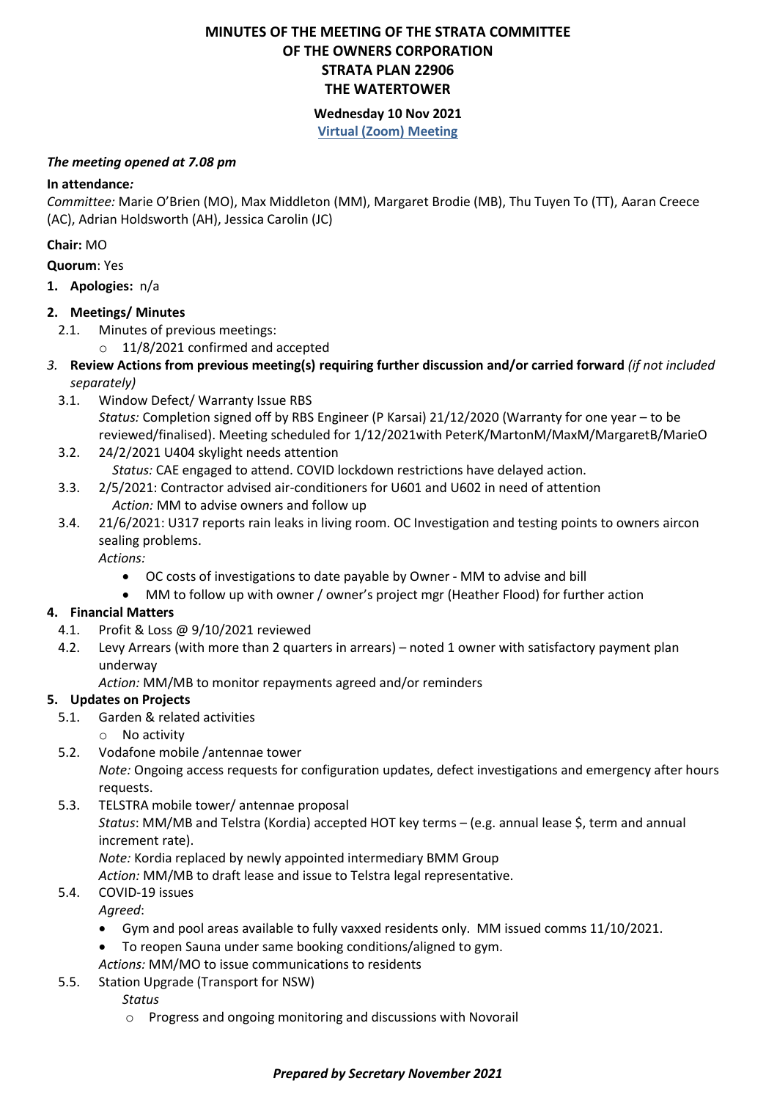## **MINUTES OF THE MEETING OF THE STRATA COMMITTEE OF THE OWNERS CORPORATION STRATA PLAN 22906 THE WATERTOWER**

### **Wednesday 10 Nov 2021 Virtual (Zoom) Meeting**

#### *The meeting opened at 7.08 pm*

### **In attendance***:*

*Committee:* Marie O'Brien (MO), Max Middleton (MM), Margaret Brodie (MB), Thu Tuyen To (TT), Aaran Creece (AC), Adrian Holdsworth (AH), Jessica Carolin (JC)

### **Chair:** MO

**Quorum**: Yes

**1. Apologies:** n/a

### **2. Meetings/ Minutes**

- 2.1. Minutes of previous meetings:
	- o 11/8/2021 confirmed and accepted
- *3.* **Review Actions from previous meeting(s) requiring further discussion and/or carried forward** *(if not included separately)*
	- 3.1. Window Defect/ Warranty Issue RBS *Status:* Completion signed off by RBS Engineer (P Karsai) 21/12/2020 (Warranty for one year – to be reviewed/finalised). Meeting scheduled for 1/12/2021with PeterK/MartonM/MaxM/MargaretB/MarieO
	- 3.2. 24/2/2021 U404 skylight needs attention *Status:* CAE engaged to attend. COVID lockdown restrictions have delayed action.
	- 3.3. 2/5/2021: Contractor advised air-conditioners for U601 and U602 in need of attention *Action:* MM to advise owners and follow up
	- 3.4. 21/6/2021: U317 reports rain leaks in living room. OC Investigation and testing points to owners aircon sealing problems.

*Actions:* 

- OC costs of investigations to date payable by Owner MM to advise and bill
- MM to follow up with owner / owner's project mgr (Heather Flood) for further action

# **4. Financial Matters**

- 4.1. Profit & Loss @ 9/10/2021 reviewed
- 4.2. Levy Arrears (with more than 2 quarters in arrears) noted 1 owner with satisfactory payment plan underway

*Action:* MM/MB to monitor repayments agreed and/or reminders

# **5. Updates on Projects**

- 5.1. Garden & related activities
	- o No activity
- 5.2. Vodafone mobile /antennae tower

*Note:* Ongoing access requests for configuration updates, defect investigations and emergency after hours requests.

5.3. TELSTRA mobile tower/ antennae proposal *Status*: MM/MB and Telstra (Kordia) accepted HOT key terms – (e.g. annual lease \$, term and annual increment rate). *Note:* Kordia replaced by newly appointed intermediary BMM Group

*Action:* MM/MB to draft lease and issue to Telstra legal representative.

5.4. COVID-19 issues

*Agreed*:

- Gym and pool areas available to fully vaxxed residents only. MM issued comms 11/10/2021.
- To reopen Sauna under same booking conditions/aligned to gym.
- *Actions:* MM/MO to issue communications to residents
- 5.5. Station Upgrade (Transport for NSW)

*Status*

o Progress and ongoing monitoring and discussions with Novorail

### *Prepared by Secretary November 2021*